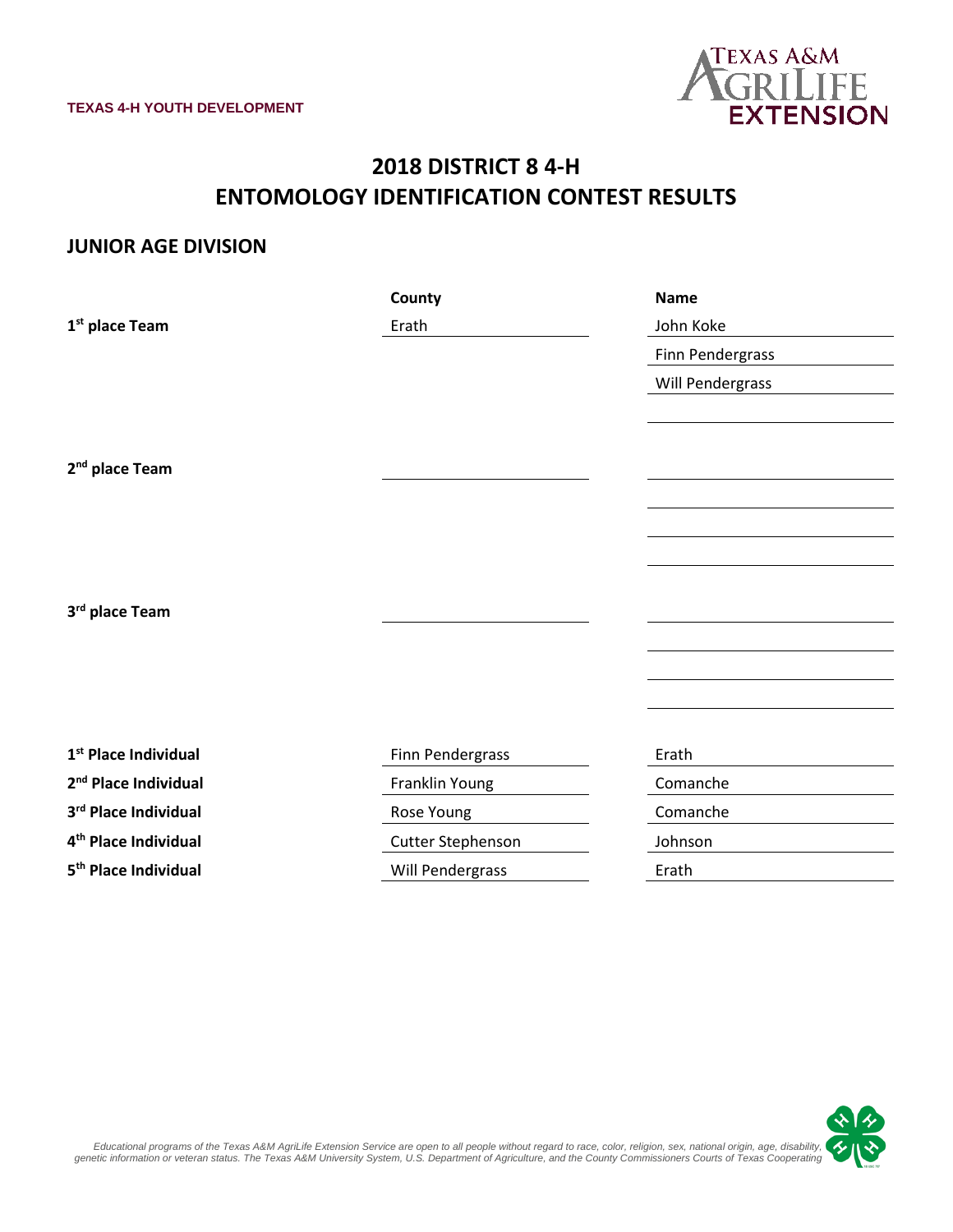

# **2018 DISTRICT 8 4-H ENTOMOLOGY IDENTIFICATION CONTEST RESULTS**

#### **JUNIOR AGE DIVISION**

|                                  | County            | <b>Name</b>      |
|----------------------------------|-------------------|------------------|
| 1 <sup>st</sup> place Team       | Erath             | John Koke        |
|                                  |                   | Finn Pendergrass |
|                                  |                   | Will Pendergrass |
|                                  |                   |                  |
|                                  |                   |                  |
| 2 <sup>nd</sup> place Team       |                   |                  |
|                                  |                   |                  |
|                                  |                   |                  |
|                                  |                   |                  |
|                                  |                   |                  |
| 3rd place Team                   |                   |                  |
|                                  |                   |                  |
|                                  |                   |                  |
|                                  |                   |                  |
|                                  |                   |                  |
| 1 <sup>st</sup> Place Individual | Finn Pendergrass  | Erath            |
| 2 <sup>nd</sup> Place Individual | Franklin Young    | Comanche         |
| 3rd Place Individual             | Rose Young        | Comanche         |
| 4 <sup>th</sup> Place Individual | Cutter Stephenson | Johnson          |
| 5 <sup>th</sup> Place Individual | Will Pendergrass  | Erath            |

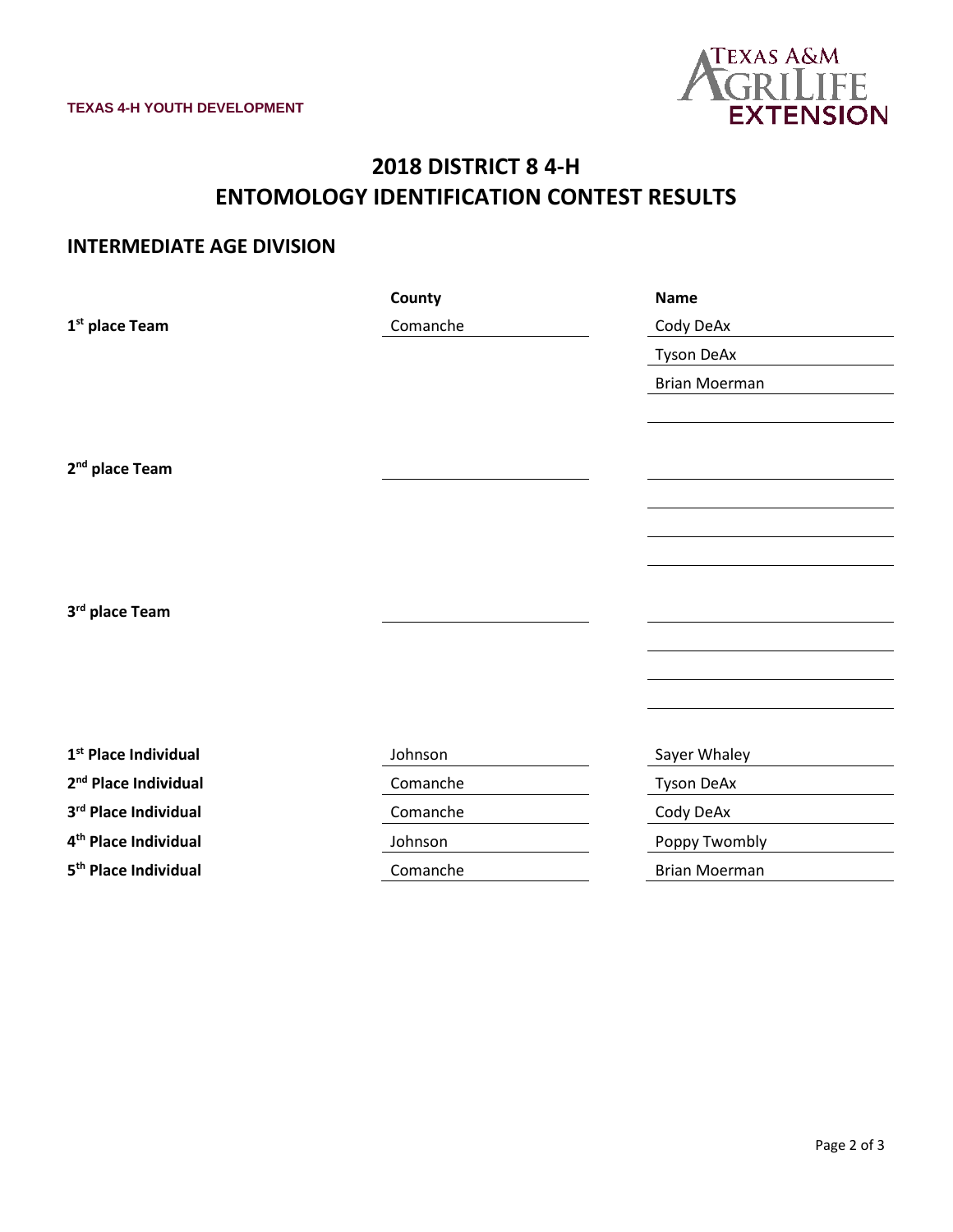

# **2018 DISTRICT 8 4-H ENTOMOLOGY IDENTIFICATION CONTEST RESULTS**

### **INTERMEDIATE AGE DIVISION**

|                                  | County   | <b>Name</b>          |
|----------------------------------|----------|----------------------|
| 1 <sup>st</sup> place Team       | Comanche | Cody DeAx            |
|                                  |          | <b>Tyson DeAx</b>    |
|                                  |          | <b>Brian Moerman</b> |
|                                  |          |                      |
|                                  |          |                      |
| 2 <sup>nd</sup> place Team       |          |                      |
|                                  |          |                      |
|                                  |          |                      |
|                                  |          |                      |
|                                  |          |                      |
| 3rd place Team                   |          |                      |
|                                  |          |                      |
|                                  |          |                      |
|                                  |          |                      |
|                                  |          |                      |
| 1 <sup>st</sup> Place Individual | Johnson  | Sayer Whaley         |
| 2 <sup>nd</sup> Place Individual | Comanche | <b>Tyson DeAx</b>    |
| 3rd Place Individual             | Comanche | Cody DeAx            |
| 4 <sup>th</sup> Place Individual | Johnson  | Poppy Twombly        |
| 5 <sup>th</sup> Place Individual | Comanche | <b>Brian Moerman</b> |